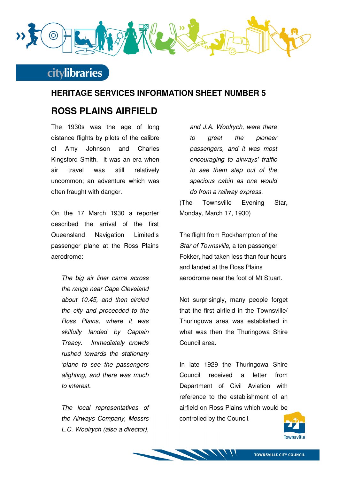

#### **HERITAGE SERVICES INFORMATION SHEET NUMBER 5**

#### **ROSS PLAINS AIRFIELD**

The 1930s was the age of long distance flights by pilots of the calibre of Amy Johnson and Charles Kingsford Smith. It was an era when air travel was still relatively uncommon; an adventure which was often fraught with danger.

On the 17 March 1930 a reporter described the arrival of the first Queensland Navigation Limited's passenger plane at the Ross Plains aerodrome:

The big air liner came across the range near Cape Cleveland about 10.45, and then circled the city and proceeded to the Ross Plains, where it was skilfully landed by Captain Treacy. Immediately crowds rushed towards the stationary 'plane to see the passengers alighting, and there was much to interest.

The local representatives of the Airways Company, Messrs L.C. Woolrych (also a director),

and J.A. Woolrych, were there to greet the pioneer passengers, and it was most encouraging to airways' traffic to see them step out of the spacious cabin as one would do from a railway express.

(The Townsville Evening Star, Monday, March 17, 1930)

The flight from Rockhampton of the Star of Townsville, a ten passenger Fokker, had taken less than four hours and landed at the Ross Plains aerodrome near the foot of Mt Stuart.

Not surprisingly, many people forget that the first airfield in the Townsville/ Thuringowa area was established in what was then the Thuringowa Shire Council area.

In late 1929 the Thuringowa Shire Council received a letter from Department of Civil Aviation with reference to the establishment of an airfield on Ross Plains which would be controlled by the Council.

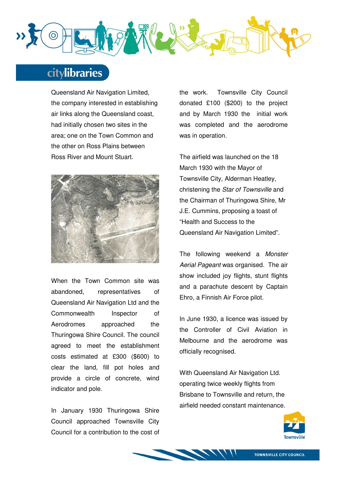

Queensland Air Navigation Limited, the company interested in establishing air links along the Queensland coast, had initially chosen two sites in the area; one on the Town Common and the other on Ross Plains between Ross River and Mount Stuart.



When the Town Common site was abandoned, representatives of Queensland Air Navigation Ltd and the Commonwealth Inspector of Aerodromes approached the Thuringowa Shire Council. The council agreed to meet the establishment costs estimated at £300 (\$600) to clear the land, fill pot holes and provide a circle of concrete, wind indicator and pole.

In January 1930 Thuringowa Shire Council approached Townsville City Council for a contribution to the cost of the work. Townsville City Council donated £100 (\$200) to the project and by March 1930 the initial work was completed and the aerodrome was in operation.

The airfield was launched on the 18 March 1930 with the Mayor of Townsville City, Alderman Heatley, christening the Star of Townsville and the Chairman of Thuringowa Shire, Mr J.E. Cummins, proposing a toast of "Health and Success to the Queensland Air Navigation Limited".

The following weekend a Monster Aerial Pageant was organised. The air show included joy flights, stunt flights and a parachute descent by Captain Ehro, a Finnish Air Force pilot.

In June 1930, a licence was issued by the Controller of Civil Aviation in Melbourne and the aerodrome was officially recognised.

With Queensland Air Navigation Ltd. operating twice weekly flights from Brisbane to Townsville and return, the airfield needed constant maintenance.

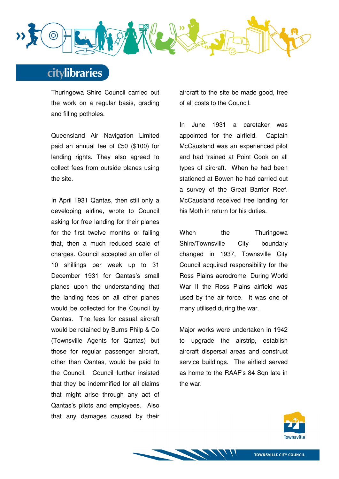

Thuringowa Shire Council carried out the work on a regular basis, grading and filling potholes.

Queensland Air Navigation Limited paid an annual fee of £50 (\$100) for landing rights. They also agreed to collect fees from outside planes using the site.

In April 1931 Qantas, then still only a developing airline, wrote to Council asking for free landing for their planes for the first twelve months or failing that, then a much reduced scale of charges. Council accepted an offer of 10 shillings per week up to 31 December 1931 for Qantas's small planes upon the understanding that the landing fees on all other planes would be collected for the Council by Qantas. The fees for casual aircraft would be retained by Burns Philp & Co (Townsville Agents for Qantas) but those for regular passenger aircraft, other than Qantas, would be paid to the Council. Council further insisted that they be indemnified for all claims that might arise through any act of Qantas's pilots and employees. Also that any damages caused by their aircraft to the site be made good, free of all costs to the Council.

In June 1931 a caretaker was appointed for the airfield. Captain McCausland was an experienced pilot and had trained at Point Cook on all types of aircraft. When he had been stationed at Bowen he had carried out a survey of the Great Barrier Reef. McCausland received free landing for his Moth in return for his duties.

When the Thuringowa Shire/Townsville City boundary changed in 1937, Townsville City Council acquired responsibility for the Ross Plains aerodrome. During World War II the Ross Plains airfield was used by the air force. It was one of many utilised during the war.

Major works were undertaken in 1942 to upgrade the airstrip, establish aircraft dispersal areas and construct service buildings. The airfield served as home to the RAAF's 84 Sqn late in the war.